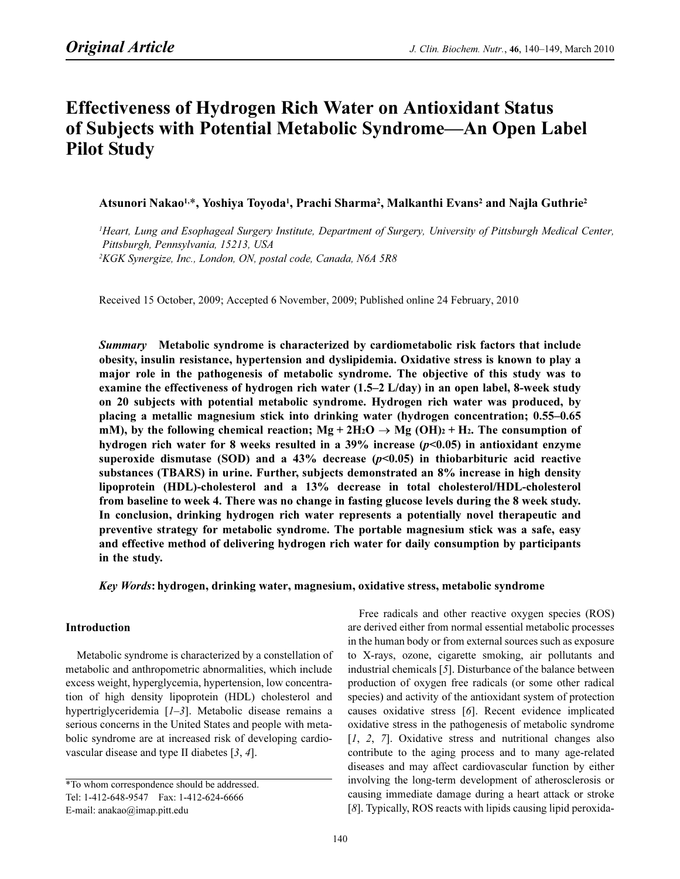# **Effectiveness of Hydrogen Rich Water on Antioxidant Status** of Subjects with Potential Metabolic Syndrome—An Open Label Pilot Study

Atsunori Nakao<sup>1,\*</sup>, Yoshiya Toyoda<sup>1</sup>, Prachi Sharma<sup>2</sup>, Malkanthi Evans<sup>2</sup> and Naila Guthrie<sup>2</sup>

<sup>1</sup>Heart, Lung and Esophageal Surgery Institute, Department of Surgery, University of Pittsburgh Medical Center, Pittsburgh, Pennsylvania, 15213, USA 2 KGK Synergize, Inc., London, ON, postal code, Canada, N6A 5R8

Received 15 October, 2009; Accepted 6 November, 2009; Published online 24 February, 2010

Summary Metabolic syndrome is characterized by cardiometabolic risk factors that include obesity, insulin resistance, hypertension and dyslipidemia. Oxidative stress is known to play a major role in the pathogenesis of metabolic syndrome. The objective of this study was to examine the effectiveness of hydrogen rich water (1.5–2 L/day) in an open label, 8-week study on 20 subjects with potential metabolic syndrome. Hydrogen rich water was produced, by placing a metallic magnesium stick into drinking water (hydrogen concentration; 0.55–0.65 mM), by the following chemical reaction;  $Mg + 2H_2O \rightarrow Mg (OH)<sub>2</sub> + H<sub>2</sub>$ . The consumption of hydrogen rich water for 8 weeks resulted in a  $39\%$  increase ( $p<0.05$ ) in antioxidant enzyme superoxide dismutase (SOD) and a 43% decrease  $(p<0.05)$  in thiobarbituric acid reactive substances (TBARS) in urine. Further, subjects demonstrated an 8% increase in high density lipoprotein (HDL)-cholesterol and a 13% decrease in total cholesterol/HDL-cholesterol from baseline to week 4. There was no change in fasting glucose levels during the 8 week study. In conclusion, drinking hydrogen rich water represents a potentially novel therapeutic and preventive strategy for metabolic syndrome. The portable magnesium stick was a safe, easy and effective method of delivering hydrogen rich water for daily consumption by participants in the study.

Key Words: hydrogen, drinking water, magnesium, oxidative stress, metabolic syndrome

## Introduction

Metabolic syndrome is characterized by a constellation of metabolic and anthropometric abnormalities, which include excess weight, hyperglycemia, hypertension, low concentration of high density lipoprotein (HDL) cholesterol and hypertriglyceridemia [1–3]. Metabolic disease remains a serious concerns in the United States and people with metabolic syndrome are at increased risk of developing cardiovascular disease and type II diabetes [3, 4].

Free radicals and other reactive oxygen species (ROS) are derived either from normal essential metabolic processes in the human body or from external sources such as exposure to X-rays, ozone, cigarette smoking, air pollutants and industrial chemicals [5]. Disturbance of the balance between production of oxygen free radicals (or some other radical species) and activity of the antioxidant system of protection causes oxidative stress [6]. Recent evidence implicated oxidative stress in the pathogenesis of metabolic syndrome [1, 2, 7]. Oxidative stress and nutritional changes also contribute to the aging process and to many age-related diseases and may affect cardiovascular function by either involving the long-term development of atherosclerosis or causing immediate damage during a heart attack or stroke [8]. Typically, ROS reacts with lipids causing lipid peroxida-

<sup>\*</sup>To whom correspondence should be addressed. Tel: 1-412-648-9547 Fax: 1-412-624-6666 E-mail: anakao@imap.pitt.edu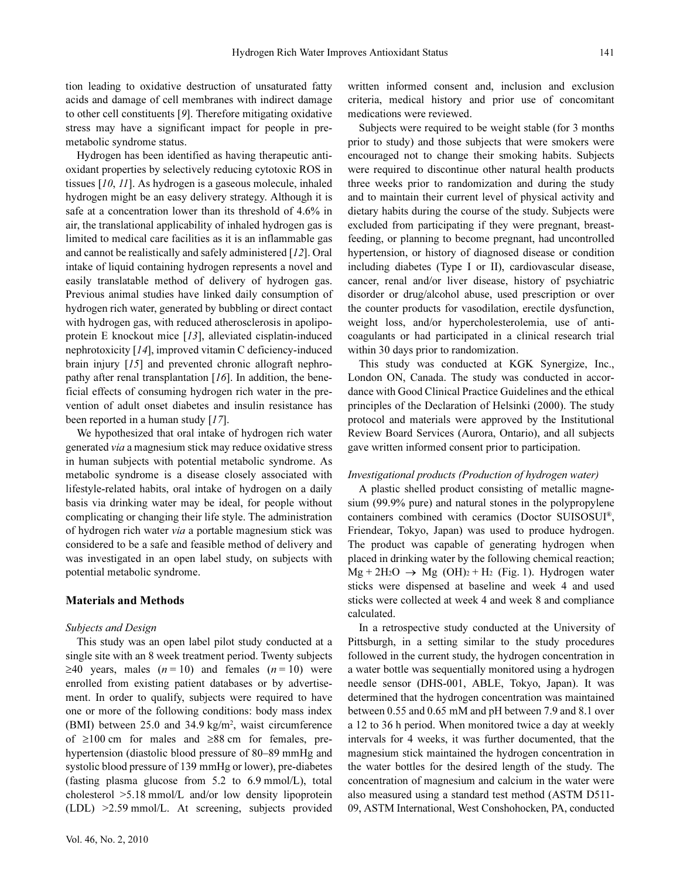tion leading to oxidative destruction of unsaturated fatty acids and damage of cell membranes with indirect damage to other cell constituents [9]. Therefore mitigating oxidative stress may have a significant impact for people in premetabolic syndrome status.

Hydrogen has been identified as having therapeutic antioxidant properties by selectively reducing cytotoxic ROS in tissues [10, 11]. As hydrogen is a gaseous molecule, inhaled hydrogen might be an easy delivery strategy. Although it is safe at a concentration lower than its threshold of 4.6% in air, the translational applicability of inhaled hydrogen gas is limited to medical care facilities as it is an inflammable gas and cannot be realistically and safely administered [12]. Oral intake of liquid containing hydrogen represents a novel and easily translatable method of delivery of hydrogen gas. Previous animal studies have linked daily consumption of hydrogen rich water, generated by bubbling or direct contact with hydrogen gas, with reduced atherosclerosis in apolipoprotein E knockout mice [13], alleviated cisplatin-induced nephrotoxicity [14], improved vitamin C deficiency-induced brain injury [15] and prevented chronic allograft nephropathy after renal transplantation  $[16]$ . In addition, the beneficial effects of consuming hydrogen rich water in the prevention of adult onset diabetes and insulin resistance has been reported in a human study [17].

We hypothesized that oral intake of hydrogen rich water generated via a magnesium stick may reduce oxidative stress in human subjects with potential metabolic syndrome. As metabolic syndrome is a disease closely associated with lifestyle-related habits, oral intake of hydrogen on a daily basis via drinking water may be ideal, for people without complicating or changing their life style. The administration of hydrogen rich water via a portable magnesium stick was considered to be a safe and feasible method of delivery and was investigated in an open label study, on subjects with potential metabolic syndrome.

## Materials and Methods

#### Subjects and Design

This study was an open label pilot study conducted at a single site with an 8 week treatment period. Twenty subjects  $\geq 40$  years, males (*n* = 10) and females (*n* = 10) were enrolled from existing patient databases or by advertisement. In order to qualify, subjects were required to have one or more of the following conditions: body mass index (BMI) between 25.0 and 34.9 kg/m<sup>2</sup>, waist circumference of ≥100 cm for males and ≥88 cm for females, prehypertension (diastolic blood pressure of 80–89 mmHg and systolic blood pressure of 139 mmHg or lower), pre-diabetes (fasting plasma glucose from 5.2 to 6.9 mmol/L), total cholesterol >5.18 mmol/L and/or low density lipoprotein (LDL) >2.59 mmol/L. At screening, subjects provided written informed consent and, inclusion and exclusion criteria, medical history and prior use of concomitant medications were reviewed.

Subjects were required to be weight stable (for 3 months prior to study) and those subjects that were smokers were encouraged not to change their smoking habits. Subjects were required to discontinue other natural health products three weeks prior to randomization and during the study and to maintain their current level of physical activity and dietary habits during the course of the study. Subjects were excluded from participating if they were pregnant, breastfeeding, or planning to become pregnant, had uncontrolled hypertension, or history of diagnosed disease or condition including diabetes (Type I or II), cardiovascular disease, cancer, renal and/or liver disease, history of psychiatric disorder or drug/alcohol abuse, used prescription or over the counter products for vasodilation, erectile dysfunction, weight loss, and/or hypercholesterolemia, use of anticoagulants or had participated in a clinical research trial within 30 days prior to randomization.

This study was conducted at KGK Synergize, Inc., London ON, Canada. The study was conducted in accordance with Good Clinical Practice Guidelines and the ethical principles of the Declaration of Helsinki (2000). The study protocol and materials were approved by the Institutional Review Board Services (Aurora, Ontario), and all subjects gave written informed consent prior to participation.

## Investigational products (Production of hydrogen water)

A plastic shelled product consisting of metallic magnesium (99.9% pure) and natural stones in the polypropylene containers combined with ceramics (Doctor SUISOSUI®, Friendear, Tokyo, Japan) was used to produce hydrogen. The product was capable of generating hydrogen when placed in drinking water by the following chemical reaction;  $Mg + 2H_2O \rightarrow Mg$  (OH)<sub>2</sub> + H<sub>2</sub> (Fig. 1). Hydrogen water sticks were dispensed at baseline and week 4 and used sticks were collected at week 4 and week 8 and compliance calculated.

In a retrospective study conducted at the University of Pittsburgh, in a setting similar to the study procedures followed in the current study, the hydrogen concentration in a water bottle was sequentially monitored using a hydrogen needle sensor (DHS-001, ABLE, Tokyo, Japan). It was determined that the hydrogen concentration was maintained between 0.55 and 0.65 mM and pH between 7.9 and 8.1 over a 12 to 36 h period. When monitored twice a day at weekly intervals for 4 weeks, it was further documented, that the magnesium stick maintained the hydrogen concentration in the water bottles for the desired length of the study. The concentration of magnesium and calcium in the water were also measured using a standard test method (ASTM D511- 09, ASTM International, West Conshohocken, PA, conducted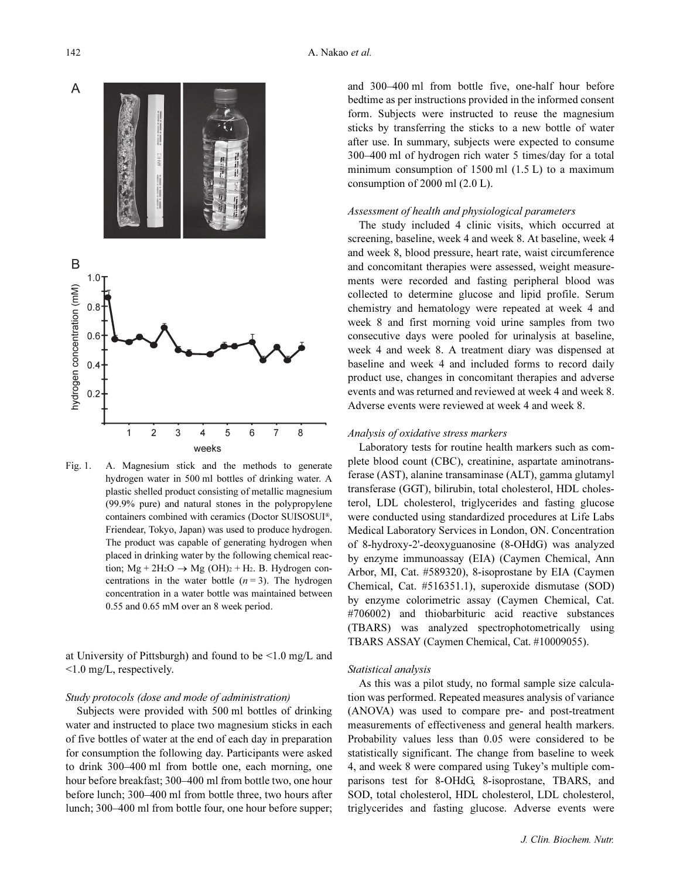

Fig. 1. A. Magnesium stick and the methods to generate hydrogen water in 500 ml bottles of drinking water. A plastic shelled product consisting of metallic magnesium (99.9% pure) and natural stones in the polypropylene containers combined with ceramics (Doctor SUISOSUI®, Friendear, Tokyo, Japan) was used to produce hydrogen. The product was capable of generating hydrogen when placed in drinking water by the following chemical reaction;  $Mg + 2H_2O \rightarrow Mg (OH)_2 + H_2$ . B. Hydrogen concentrations in the water bottle  $(n=3)$ . The hydrogen concentration in a water bottle was maintained between 0.55 and 0.65 mM over an 8 week period.

at University of Pittsburgh) and found to be <1.0 mg/L and <1.0 mg/L, respectively.

## Study protocols (dose and mode of administration)

Subjects were provided with 500 ml bottles of drinking water and instructed to place two magnesium sticks in each of five bottles of water at the end of each day in preparation for consumption the following day. Participants were asked to drink 300–400 ml from bottle one, each morning, one hour before breakfast; 300–400 ml from bottle two, one hour before lunch; 300–400 ml from bottle three, two hours after lunch; 300–400 ml from bottle four, one hour before supper; and 300–400 ml from bottle five, one-half hour before bedtime as per instructions provided in the informed consent form. Subjects were instructed to reuse the magnesium sticks by transferring the sticks to a new bottle of water after use. In summary, subjects were expected to consume 300–400 ml of hydrogen rich water 5 times/day for a total minimum consumption of  $1500$  ml  $(1.5 \text{ L})$  to a maximum consumption of 2000 ml (2.0 L).

## Assessment of health and physiological parameters

The study included 4 clinic visits, which occurred at screening, baseline, week 4 and week 8. At baseline, week 4 and week 8, blood pressure, heart rate, waist circumference and concomitant therapies were assessed, weight measurements were recorded and fasting peripheral blood was collected to determine glucose and lipid profile. Serum chemistry and hematology were repeated at week 4 and week 8 and first morning void urine samples from two consecutive days were pooled for urinalysis at baseline, week 4 and week 8. A treatment diary was dispensed at baseline and week 4 and included forms to record daily product use, changes in concomitant therapies and adverse events and was returned and reviewed at week 4 and week 8. Adverse events were reviewed at week 4 and week 8.

## Analysis of oxidative stress markers

Laboratory tests for routine health markers such as complete blood count (CBC), creatinine, aspartate aminotransferase (AST), alanine transaminase (ALT), gamma glutamyl transferase (GGT), bilirubin, total cholesterol, HDL cholesterol, LDL cholesterol, triglycerides and fasting glucose were conducted using standardized procedures at Life Labs Medical Laboratory Services in London, ON. Concentration of 8-hydroxy-2'-deoxyguanosine (8-OHdG) was analyzed by enzyme immunoassay (EIA) (Caymen Chemical, Ann Arbor, MI, Cat. #589320), 8-isoprostane by EIA (Caymen Chemical, Cat. #516351.1), superoxide dismutase (SOD) by enzyme colorimetric assay (Caymen Chemical, Cat. #706002) and thiobarbituric acid reactive substances (TBARS) was analyzed spectrophotometrically using TBARS ASSAY (Caymen Chemical, Cat. #10009055).

#### Statistical analysis

As this was a pilot study, no formal sample size calculation was performed. Repeated measures analysis of variance (ANOVA) was used to compare pre- and post-treatment measurements of effectiveness and general health markers. Probability values less than 0.05 were considered to be statistically significant. The change from baseline to week 4, and week 8 were compared using Tukey's multiple comparisons test for 8-OHdG, 8-isoprostane, TBARS, and SOD, total cholesterol, HDL cholesterol, LDL cholesterol, triglycerides and fasting glucose. Adverse events were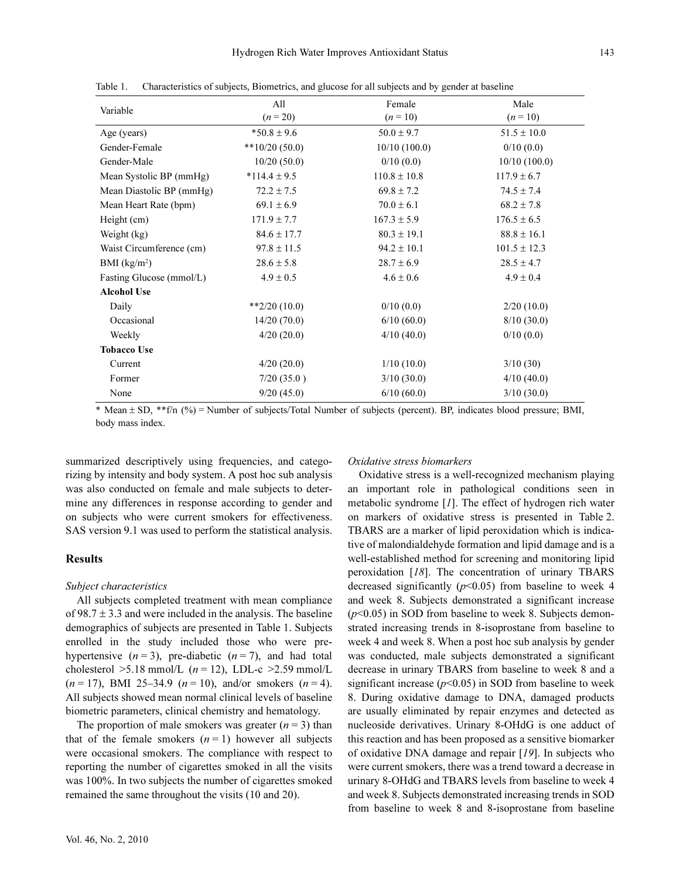| Variable                 | All<br>$(n=20)$  | Female<br>$(n=10)$ | Male<br>$(n = 10)$ |  |
|--------------------------|------------------|--------------------|--------------------|--|
| Age (years)              | $*50.8 \pm 9.6$  | $50.0 \pm 9.7$     | $51.5 \pm 10.0$    |  |
| Gender-Female            | $**10/20(50.0)$  | 10/10(100.0)       | 0/10(0.0)          |  |
| Gender-Male              | 10/20(50.0)      | 0/10(0.0)          | 10/10(100.0)       |  |
| Mean Systolic BP (mmHg)  | $*114.4 \pm 9.5$ | $110.8 \pm 10.8$   | $117.9 \pm 6.7$    |  |
| Mean Diastolic BP (mmHg) | $72.2 \pm 7.5$   | $69.8 \pm 7.2$     | $74.5 \pm 7.4$     |  |
| Mean Heart Rate (bpm)    | $69.1 \pm 6.9$   | $70.0 \pm 6.1$     | $68.2 \pm 7.8$     |  |
| Height (cm)              | $171.9 \pm 7.7$  | $167.3 \pm 5.9$    | $176.5 \pm 6.5$    |  |
| Weight (kg)              | $84.6 \pm 17.7$  | $80.3 \pm 19.1$    | $88.8 \pm 16.1$    |  |
| Waist Circumference (cm) | $97.8 \pm 11.5$  | $94.2 \pm 10.1$    | $101.5 \pm 12.3$   |  |
| BMI $(kg/m2)$            | $28.6 \pm 5.8$   | $28.7 \pm 6.9$     | $28.5 \pm 4.7$     |  |
| Fasting Glucose (mmol/L) | $4.9 \pm 0.5$    | $4.6 \pm 0.6$      | $4.9 \pm 0.4$      |  |
| <b>Alcohol Use</b>       |                  |                    |                    |  |
| Daily                    | $*2/20(10.0)$    | 0/10(0.0)          | 2/20(10.0)         |  |
| Occasional               | 14/20(70.0)      | 6/10(60.0)         | 8/10(30.0)         |  |
| Weekly                   | 4/20(20.0)       | 4/10(40.0)         | 0/10(0.0)          |  |
| <b>Tobacco Use</b>       |                  |                    |                    |  |
| Current                  | 4/20(20.0)       | 1/10(10.0)         | 3/10(30)           |  |
| Former                   | 7/20(35.0)       | 3/10(30.0)         | 4/10(40.0)         |  |
| None                     | 9/20(45.0)       | 6/10(60.0)         | 3/10(30.0)         |  |

Table 1. Characteristics of subjects, Biometrics, and glucose for all subjects and by gender at baseline

\* Mean ± SD, \*\*f/n (%) = Number of subjects/Total Number of subjects (percent). BP, indicates blood pressure; BMI, body mass index.

summarized descriptively using frequencies, and categorizing by intensity and body system. A post hoc sub analysis was also conducted on female and male subjects to determine any differences in response according to gender and on subjects who were current smokers for effectiveness. SAS version 9.1 was used to perform the statistical analysis.

## Results

#### Subject characteristics

All subjects completed treatment with mean compliance of 98.7  $\pm$  3.3 and were included in the analysis. The baseline demographics of subjects are presented in Table 1. Subjects enrolled in the study included those who were prehypertensive  $(n=3)$ , pre-diabetic  $(n=7)$ , and had total cholesterol  $>5.18$  mmol/L ( $n = 12$ ), LDL-c  $>2.59$  mmol/L  $(n = 17)$ , BMI 25-34.9  $(n = 10)$ , and/or smokers  $(n = 4)$ . All subjects showed mean normal clinical levels of baseline biometric parameters, clinical chemistry and hematology.

The proportion of male smokers was greater  $(n = 3)$  than that of the female smokers  $(n = 1)$  however all subjects were occasional smokers. The compliance with respect to reporting the number of cigarettes smoked in all the visits was 100%. In two subjects the number of cigarettes smoked remained the same throughout the visits (10 and 20).

#### Oxidative stress biomarkers

Oxidative stress is a well-recognized mechanism playing an important role in pathological conditions seen in metabolic syndrome [1]. The effect of hydrogen rich water on markers of oxidative stress is presented in Table 2. TBARS are a marker of lipid peroxidation which is indicative of malondialdehyde formation and lipid damage and is a well-established method for screening and monitoring lipid peroxidation [18]. The concentration of urinary TBARS decreased significantly ( $p$ <0.05) from baseline to week 4 and week 8. Subjects demonstrated a significant increase  $(p<0.05)$  in SOD from baseline to week 8. Subjects demonstrated increasing trends in 8-isoprostane from baseline to week 4 and week 8. When a post hoc sub analysis by gender was conducted, male subjects demonstrated a significant decrease in urinary TBARS from baseline to week 8 and a significant increase  $(p<0.05)$  in SOD from baseline to week 8. During oxidative damage to DNA, damaged products are usually eliminated by repair enzymes and detected as nucleoside derivatives. Urinary 8-OHdG is one adduct of this reaction and has been proposed as a sensitive biomarker of oxidative DNA damage and repair [19]. In subjects who were current smokers, there was a trend toward a decrease in urinary 8-OHdG and TBARS levels from baseline to week 4 and week 8. Subjects demonstrated increasing trends in SOD from baseline to week 8 and 8-isoprostane from baseline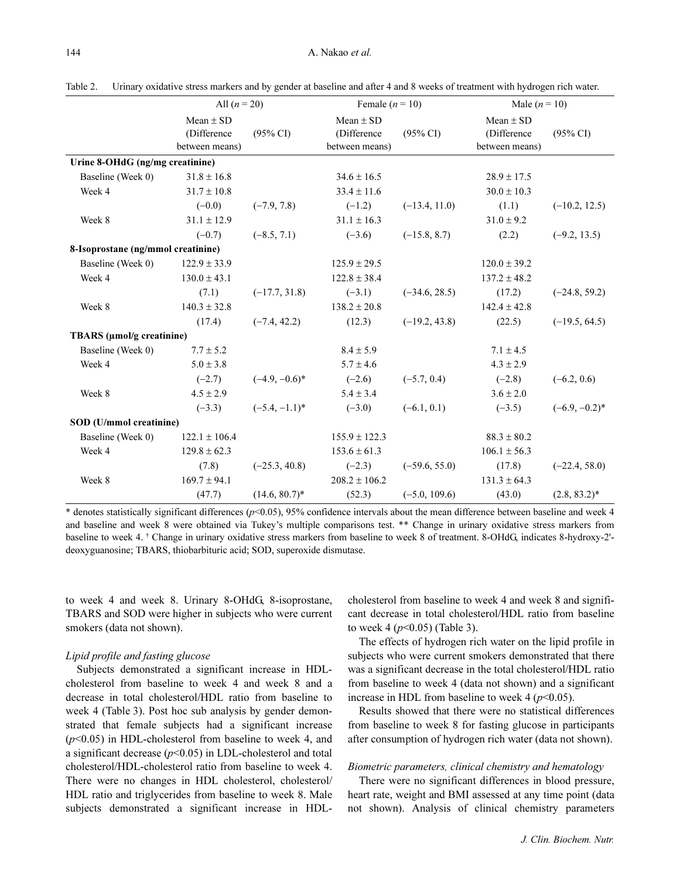|                                    | All $(n = 20)$                                 |                     | Female $(n = 10)$                              |                     | Male $(n=10)$                                  |                     |
|------------------------------------|------------------------------------------------|---------------------|------------------------------------------------|---------------------|------------------------------------------------|---------------------|
|                                    | Mean $\pm$ SD<br>(Difference<br>between means) | $(95\% \text{ CI})$ | Mean $\pm$ SD<br>(Difference<br>between means) | $(95\% \text{ CI})$ | Mean $\pm$ SD<br>(Difference<br>between means) | $(95\% \text{ CI})$ |
| Urine 8-OHdG (ng/mg creatinine)    |                                                |                     |                                                |                     |                                                |                     |
| Baseline (Week 0)                  | $31.8 \pm 16.8$                                |                     | $34.6 \pm 16.5$                                |                     | $28.9 \pm 17.5$                                |                     |
| Week 4                             | $31.7 \pm 10.8$                                |                     | $33.4 \pm 11.6$                                |                     | $30.0 \pm 10.3$                                |                     |
|                                    | $(-0.0)$                                       | $(-7.9, 7.8)$       | $(-1.2)$                                       | $(-13.4, 11.0)$     | (1.1)                                          | $(-10.2, 12.5)$     |
| Week 8                             | $31.1 \pm 12.9$                                |                     | $31.1 \pm 16.3$                                |                     | $31.0 \pm 9.2$                                 |                     |
|                                    | $(-0.7)$                                       | $(-8.5, 7.1)$       | $(-3.6)$                                       | $(-15.8, 8.7)$      | (2.2)                                          | $(-9.2, 13.5)$      |
| 8-Isoprostane (ng/mmol creatinine) |                                                |                     |                                                |                     |                                                |                     |
| Baseline (Week 0)                  | $122.9 \pm 33.9$                               |                     | $125.9 \pm 29.5$                               |                     | $120.0 \pm 39.2$                               |                     |
| Week 4                             | $130.0 \pm 43.1$                               |                     | $122.8 \pm 38.4$                               |                     | $137.2 \pm 48.2$                               |                     |
|                                    | (7.1)                                          | $(-17.7, 31.8)$     | $(-3.1)$                                       | $(-34.6, 28.5)$     | (17.2)                                         | $(-24.8, 59.2)$     |
| Week 8                             | $140.3 \pm 32.8$                               |                     | $138.2 \pm 20.8$                               |                     | $142.4 \pm 42.8$                               |                     |
|                                    | (17.4)                                         | $(-7.4, 42.2)$      | (12.3)                                         | $(-19.2, 43.8)$     | (22.5)                                         | $(-19.5, 64.5)$     |
| TBARS (µmol/g creatinine)          |                                                |                     |                                                |                     |                                                |                     |
| Baseline (Week 0)                  | $7.7 \pm 5.2$                                  |                     | $8.4 \pm 5.9$                                  |                     | $7.1 \pm 4.5$                                  |                     |
| Week 4                             | $5.0 \pm 3.8$                                  |                     | $5.7 \pm 4.6$                                  |                     | $4.3 \pm 2.9$                                  |                     |
|                                    | $(-2.7)$                                       | $(-4.9, -0.6)*$     | $(-2.6)$                                       | $(-5.7, 0.4)$       | $(-2.8)$                                       | $(-6.2, 0.6)$       |
| Week 8                             | $4.5 \pm 2.9$                                  |                     | $5.4 \pm 3.4$                                  |                     | $3.6 \pm 2.0$                                  |                     |
|                                    | $(-3.3)$                                       | $(-5.4, -1.1)^*$    | $(-3.0)$                                       | $(-6.1, 0.1)$       | $(-3.5)$                                       | $(-6.9, -0.2)^*$    |
| SOD (U/mmol creatinine)            |                                                |                     |                                                |                     |                                                |                     |
| Baseline (Week 0)                  | $122.1 \pm 106.4$                              |                     | $155.9 \pm 122.3$                              |                     | $88.3 \pm 80.2$                                |                     |
| Week 4                             | $129.8 \pm 62.3$                               |                     | $153.6 \pm 61.3$                               |                     | $106.1 \pm 56.3$                               |                     |
|                                    | (7.8)                                          | $(-25.3, 40.8)$     | $(-2.3)$                                       | $(-59.6, 55.0)$     | (17.8)                                         | $(-22.4, 58.0)$     |
| Week 8                             | $169.7 \pm 94.1$                               |                     | $208.2 \pm 106.2$                              |                     | $131.3 \pm 64.3$                               |                     |
|                                    | (47.7)                                         | $(14.6, 80.7)^*$    | (52.3)                                         | $(-5.0, 109.6)$     | (43.0)                                         | $(2.8, 83.2)^*$     |

Table 2. Urinary oxidative stress markers and by gender at baseline and after 4 and 8 weeks of treatment with hydrogen rich water.

\* denotes statistically significant differences (p<0.05), 95% confidence intervals about the mean difference between baseline and week 4 and baseline and week 8 were obtained via Tukey's multiple comparisons test. \*\* Change in urinary oxidative stress markers from baseline to week 4. † Change in urinary oxidative stress markers from baseline to week 8 of treatment. 8-OHdG, indicates 8-hydroxy-2' deoxyguanosine; TBARS, thiobarbituric acid; SOD, superoxide dismutase.

to week 4 and week 8. Urinary 8-OHdG, 8-isoprostane, TBARS and SOD were higher in subjects who were current smokers (data not shown).

## Lipid profile and fasting glucose

Subjects demonstrated a significant increase in HDLcholesterol from baseline to week 4 and week 8 and a decrease in total cholesterol/HDL ratio from baseline to week 4 (Table 3). Post hoc sub analysis by gender demonstrated that female subjects had a significant increase  $(p<0.05)$  in HDL-cholesterol from baseline to week 4, and a significant decrease  $(p<0.05)$  in LDL-cholesterol and total cholesterol/HDL-cholesterol ratio from baseline to week 4. There were no changes in HDL cholesterol, cholesterol/ HDL ratio and triglycerides from baseline to week 8. Male subjects demonstrated a significant increase in HDL-

cholesterol from baseline to week 4 and week 8 and significant decrease in total cholesterol/HDL ratio from baseline to week 4 ( $p$ <0.05) (Table 3).

The effects of hydrogen rich water on the lipid profile in subjects who were current smokers demonstrated that there was a significant decrease in the total cholesterol/HDL ratio from baseline to week 4 (data not shown) and a significant increase in HDL from baseline to week 4 ( $p$ <0.05).

Results showed that there were no statistical differences from baseline to week 8 for fasting glucose in participants after consumption of hydrogen rich water (data not shown).

#### Biometric parameters, clinical chemistry and hematology

There were no significant differences in blood pressure, heart rate, weight and BMI assessed at any time point (data not shown). Analysis of clinical chemistry parameters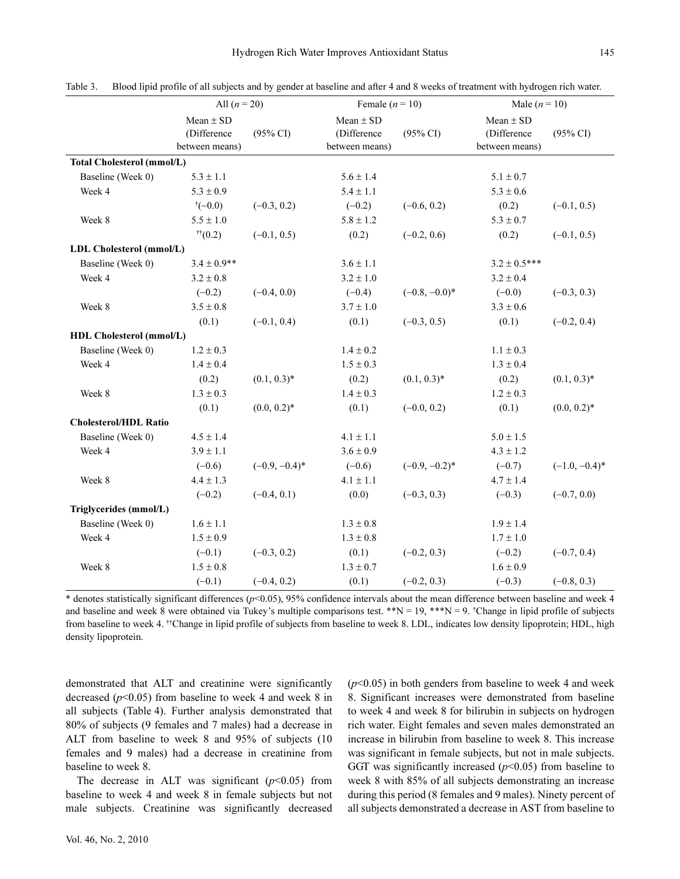|                              | All $(n = 20)$                                 |                     | Female $(n = 10)$                              |                     | Male $(n = 10)$                                |                     |
|------------------------------|------------------------------------------------|---------------------|------------------------------------------------|---------------------|------------------------------------------------|---------------------|
|                              | $Mean \pm SD$<br>(Difference<br>between means) | $(95\% \text{ CI})$ | $Mean \pm SD$<br>(Difference<br>between means) | $(95\% \text{ CI})$ | $Mean \pm SD$<br>(Difference<br>between means) | $(95\% \text{ CI})$ |
| Total Cholesterol (mmol/L)   |                                                |                     |                                                |                     |                                                |                     |
| Baseline (Week 0)            | $5.3 \pm 1.1$                                  |                     | $5.6 \pm 1.4$                                  |                     | $5.1 \pm 0.7$                                  |                     |
| Week 4                       | $5.3 \pm 0.9$                                  |                     | $5.4 \pm 1.1$                                  |                     | $5.3\pm0.6$                                    |                     |
|                              | $^{\dagger}(-0.0)$                             | $(-0.3, 0.2)$       | $(-0.2)$                                       | $(-0.6, 0.2)$       | (0.2)                                          | $(-0.1, 0.5)$       |
| Week 8                       | $5.5 \pm 1.0$                                  |                     | $5.8 \pm 1.2$                                  |                     | $5.3 \pm 0.7$                                  |                     |
|                              | $\sqrt[+1]{(0.2)}$                             | $(-0.1, 0.5)$       | (0.2)                                          | $(-0.2, 0.6)$       | (0.2)                                          | $(-0.1, 0.5)$       |
| LDL Cholesterol (mmol/L)     |                                                |                     |                                                |                     |                                                |                     |
| Baseline (Week 0)            | $3.4 \pm 0.9$ **                               |                     | $3.6 \pm 1.1$                                  |                     | $3.2 \pm 0.5***$                               |                     |
| Week 4                       | $3.2 \pm 0.8$                                  |                     | $3.2 \pm 1.0$                                  |                     | $3.2 \pm 0.4$                                  |                     |
|                              | $(-0.2)$                                       | $(-0.4, 0.0)$       | $(-0.4)$                                       | $(-0.8, -0.0)^*$    | $(-0.0)$                                       | $(-0.3, 0.3)$       |
| Week 8                       | $3.5 \pm 0.8$                                  |                     | $3.7 \pm 1.0$                                  |                     | $3.3 \pm 0.6$                                  |                     |
|                              | (0.1)                                          | $(-0.1, 0.4)$       | (0.1)                                          | $(-0.3, 0.5)$       | (0.1)                                          | $(-0.2, 0.4)$       |
| HDL Cholesterol (mmol/L)     |                                                |                     |                                                |                     |                                                |                     |
| Baseline (Week 0)            | $1.2 \pm 0.3$                                  |                     | $1.4 \pm 0.2$                                  |                     | $1.1 \pm 0.3$                                  |                     |
| Week 4                       | $1.4 \pm 0.4$                                  |                     | $1.5 \pm 0.3$                                  |                     | $1.3 \pm 0.4$                                  |                     |
|                              | (0.2)                                          | $(0.1, 0.3)^*$      | (0.2)                                          | $(0.1, 0.3)^*$      | (0.2)                                          | $(0.1, 0.3)^*$      |
| Week 8                       | $1.3 \pm 0.3$                                  |                     | $1.4 \pm 0.3$                                  |                     | $1.2 \pm 0.3$                                  |                     |
|                              | (0.1)                                          | $(0.0, 0.2)^*$      | (0.1)                                          | $(-0.0, 0.2)$       | (0.1)                                          | $(0.0, 0.2)^*$      |
| <b>Cholesterol/HDL Ratio</b> |                                                |                     |                                                |                     |                                                |                     |
| Baseline (Week 0)            | $4.5 \pm 1.4$                                  |                     | $4.1 \pm 1.1$                                  |                     | $5.0 \pm 1.5$                                  |                     |
| Week 4                       | $3.9 \pm 1.1$                                  |                     | $3.6 \pm 0.9$                                  |                     | $4.3 \pm 1.2$                                  |                     |
|                              | $(-0.6)$                                       | $(-0.9, -0.4)^*$    | $(-0.6)$                                       | $(-0.9, -0.2)^*$    | $(-0.7)$                                       | $(-1.0, -0.4)^*$    |
| Week 8                       | $4.4 \pm 1.3$                                  |                     | $4.1 \pm 1.1$                                  |                     | $4.7 \pm 1.4$                                  |                     |
|                              | $(-0.2)$                                       | $(-0.4, 0.1)$       | (0.0)                                          | $(-0.3, 0.3)$       | $(-0.3)$                                       | $(-0.7, 0.0)$       |
| Triglycerides (mmol/L)       |                                                |                     |                                                |                     |                                                |                     |
| Baseline (Week 0)            | $1.6 \pm 1.1$                                  |                     | $1.3 \pm 0.8$                                  |                     | $1.9 \pm 1.4$                                  |                     |
| Week 4                       | $1.5 \pm 0.9$                                  |                     | $1.3 \pm 0.8$                                  |                     | $1.7 \pm 1.0$                                  |                     |
|                              | $(-0.1)$                                       | $(-0.3, 0.2)$       | (0.1)                                          | $(-0.2, 0.3)$       | $(-0.2)$                                       | $(-0.7, 0.4)$       |
| Week 8                       | $1.5 \pm 0.8$                                  |                     | $1.3 \pm 0.7$                                  |                     | $1.6 \pm 0.9$                                  |                     |
|                              | $(-0.1)$                                       | $(-0.4, 0.2)$       | (0.1)                                          | $(-0.2, 0.3)$       | $(-0.3)$                                       | $(-0.8, 0.3)$       |

Table 3. Blood lipid profile of all subjects and by gender at baseline and after 4 and 8 weeks of treatment with hydrogen rich water.

 $*$  denotes statistically significant differences ( $p$ <0.05), 95% confidence intervals about the mean difference between baseline and week 4 and baseline and week 8 were obtained via Tukey's multiple comparisons test.  $*N = 19$ ,  $**N = 9$ . Change in lipid profile of subjects from baseline to week 4. <sup>††</sup>Change in lipid profile of subjects from baseline to week 8. LDL, indicates low density lipoprotein; HDL, high density lipoprotein.

demonstrated that ALT and creatinine were significantly decreased  $(p<0.05)$  from baseline to week 4 and week 8 in all subjects (Table 4). Further analysis demonstrated that 80% of subjects (9 females and 7 males) had a decrease in ALT from baseline to week 8 and 95% of subjects (10 females and 9 males) had a decrease in creatinine from baseline to week 8.

The decrease in ALT was significant  $(p<0.05)$  from baseline to week 4 and week 8 in female subjects but not male subjects. Creatinine was significantly decreased  $(p<0.05)$  in both genders from baseline to week 4 and week 8. Significant increases were demonstrated from baseline to week 4 and week 8 for bilirubin in subjects on hydrogen rich water. Eight females and seven males demonstrated an increase in bilirubin from baseline to week 8. This increase was significant in female subjects, but not in male subjects. GGT was significantly increased  $(p<0.05)$  from baseline to week 8 with 85% of all subjects demonstrating an increase during this period (8 females and 9 males). Ninety percent of all subjects demonstrated a decrease in AST from baseline to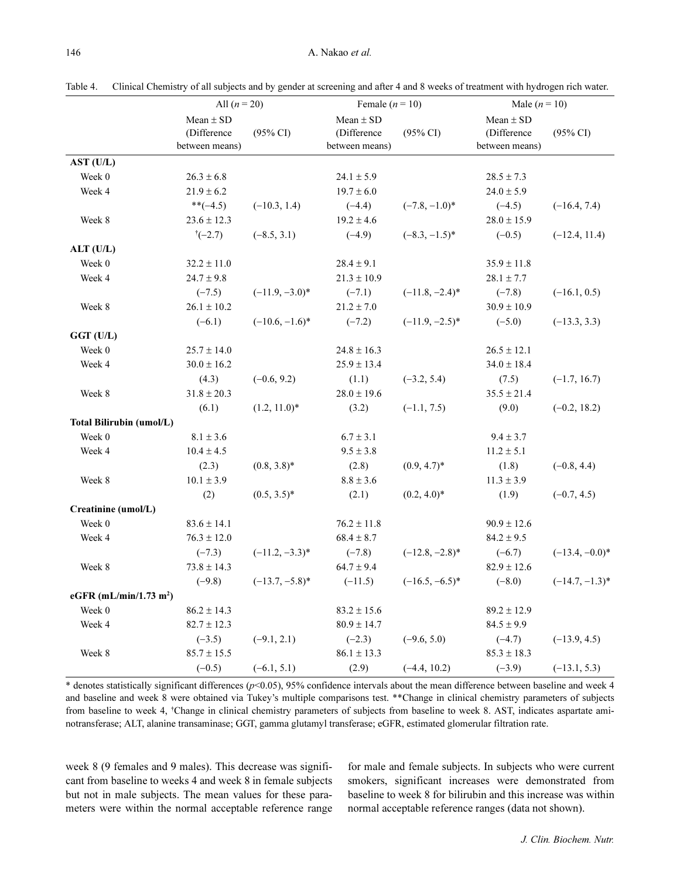|                                    | All $(n = 20)$                                 |                     | Female $(n = 10)$                              |                     | Male $(n = 10)$                                |                     |
|------------------------------------|------------------------------------------------|---------------------|------------------------------------------------|---------------------|------------------------------------------------|---------------------|
|                                    | Mean $\pm$ SD<br>(Difference<br>between means) | $(95\% \text{ CI})$ | Mean $\pm$ SD<br>(Difference<br>between means) | $(95\% \text{ CI})$ | Mean $\pm$ SD<br>(Difference<br>between means) | $(95\% \text{ CI})$ |
| AST (U/L)                          |                                                |                     |                                                |                     |                                                |                     |
| Week 0                             | $26.3 \pm 6.8$                                 |                     | $24.1 \pm 5.9$                                 |                     | $28.5 \pm 7.3$                                 |                     |
| Week 4                             | $21.9 \pm 6.2$                                 |                     | $19.7 \pm 6.0$                                 |                     | $24.0 \pm 5.9$                                 |                     |
|                                    | $*(-4.5)$                                      | $(-10.3, 1.4)$      | $(-4.4)$                                       | $(-7.8, -1.0)^*$    | $(-4.5)$                                       | $(-16.4, 7.4)$      |
| Week 8                             | $23.6 \pm 12.3$                                |                     | $19.2 \pm 4.6$                                 |                     | $28.0 \pm 15.9$                                |                     |
|                                    | $\uparrow (-2.7)$                              | $(-8.5, 3.1)$       | $(-4.9)$                                       | $(-8.3, -1.5)^*$    | $(-0.5)$                                       | $(-12.4, 11.4)$     |
| ALT (U/L)                          |                                                |                     |                                                |                     |                                                |                     |
| Week 0                             | $32.2 \pm 11.0$                                |                     | $28.4\pm9.1$                                   |                     | $35.9 \pm 11.8$                                |                     |
| Week 4                             | $24.7 \pm 9.8$                                 |                     | $21.3 \pm 10.9$                                |                     | $28.1 \pm 7.7$                                 |                     |
|                                    | $(-7.5)$                                       | $(-11.9, -3.0)^*$   | $(-7.1)$                                       | $(-11.8, -2.4)^*$   | $(-7.8)$                                       | $(-16.1, 0.5)$      |
| Week 8                             | $26.1 \pm 10.2$                                |                     | $21.2 \pm 7.0$                                 |                     | $30.9 \pm 10.9$                                |                     |
|                                    | $(-6.1)$                                       | $(-10.6, -1.6)^*$   | $(-7.2)$                                       | $(-11.9, -2.5)^*$   | $(-5.0)$                                       | $(-13.3, 3.3)$      |
| GGT (U/L)                          |                                                |                     |                                                |                     |                                                |                     |
| Week 0                             | $25.7 \pm 14.0$                                |                     | $24.8 \pm 16.3$                                |                     | $26.5 \pm 12.1$                                |                     |
| Week 4                             | $30.0 \pm 16.2$                                |                     | $25.9 \pm 13.4$                                |                     | $34.0 \pm 18.4$                                |                     |
|                                    | (4.3)                                          | $(-0.6, 9.2)$       | (1.1)                                          | $(-3.2, 5.4)$       | (7.5)                                          | $(-1.7, 16.7)$      |
| Week 8                             | $31.8 \pm 20.3$                                |                     | $28.0 \pm 19.6$                                |                     | $35.5 \pm 21.4$                                |                     |
|                                    | (6.1)                                          | $(1.2, 11.0)^*$     | (3.2)                                          | $(-1.1, 7.5)$       | (9.0)                                          | $(-0.2, 18.2)$      |
| <b>Total Bilirubin (umol/L)</b>    |                                                |                     |                                                |                     |                                                |                     |
| Week 0                             | $8.1 \pm 3.6$                                  |                     | $6.7 \pm 3.1$                                  |                     | $9.4 \pm 3.7$                                  |                     |
| Week 4                             | $10.4 \pm 4.5$                                 |                     | $9.5 \pm 3.8$                                  |                     | $11.2 \pm 5.1$                                 |                     |
|                                    | (2.3)                                          | $(0.8, 3.8)^*$      | (2.8)                                          | $(0.9, 4.7)^*$      | (1.8)                                          | $(-0.8, 4.4)$       |
| Week 8                             | $10.1 \pm 3.9$                                 |                     | $8.8 \pm 3.6$                                  |                     | $11.3 \pm 3.9$                                 |                     |
|                                    | (2)                                            | $(0.5, 3.5)^*$      | (2.1)                                          | $(0.2, 4.0)^*$      | (1.9)                                          | $(-0.7, 4.5)$       |
| Creatinine (umol/L)                |                                                |                     |                                                |                     |                                                |                     |
| Week 0                             | $83.6 \pm 14.1$                                |                     | $76.2 \pm 11.8$                                |                     | $90.9 \pm 12.6$                                |                     |
| Week 4                             | $76.3 \pm 12.0$                                |                     | $68.4\pm8.7$                                   |                     | $84.2 \pm 9.5$                                 |                     |
|                                    | $(-7.3)$                                       | $(-11.2, -3.3)^*$   | $(-7.8)$                                       | $(-12.8, -2.8)^*$   | $(-6.7)$                                       | $(-13.4, -0.0)^*$   |
| Week 8                             | $73.8 \pm 14.3$                                |                     | $64.7 \pm 9.4$                                 |                     | $82.9 \pm 12.6$                                |                     |
|                                    | $(-9.8)$                                       | $(-13.7, -5.8)^*$   | $(-11.5)$                                      | $(-16.5, -6.5)^*$   | $(-8.0)$                                       | $(-14.7, -1.3)^*$   |
| eGFR (mL/min/1.73 m <sup>2</sup> ) |                                                |                     |                                                |                     |                                                |                     |
| Week 0                             | $86.2 \pm 14.3$                                |                     | $83.2 \pm 15.6$                                |                     | $89.2 \pm 12.9$                                |                     |
| Week 4                             | $82.7 \pm 12.3$                                |                     | $80.9 \pm 14.7$                                |                     | $84.5 \pm 9.9$                                 |                     |
|                                    | $(-3.5)$                                       | $(-9.1, 2.1)$       | $(-2.3)$                                       | $(-9.6, 5.0)$       | $(-4.7)$                                       | $(-13.9, 4.5)$      |
| Week 8                             | $85.7 \pm 15.5$                                |                     | $86.1 \pm 13.3$                                |                     | $85.3 \pm 18.3$                                |                     |
|                                    | $(-0.5)$                                       | $(-6.1, 5.1)$       | (2.9)                                          | $(-4.4, 10.2)$      | $(-3.9)$                                       | $(-13.1, 5.3)$      |

Table 4. Clinical Chemistry of all subjects and by gender at screening and after 4 and 8 weeks of treatment with hydrogen rich water.

\* denotes statistically significant differences ( $p$ <0.05), 95% confidence intervals about the mean difference between baseline and week 4 and baseline and week 8 were obtained via Tukey's multiple comparisons test. \*\*Change in clinical chemistry parameters of subjects from baseline to week 4, <sup>†</sup>Change in clinical chemistry parameters of subjects from baseline to week 8. AST, indicates aspartate aminotransferase; ALT, alanine transaminase; GGT, gamma glutamyl transferase; eGFR, estimated glomerular filtration rate.

week 8 (9 females and 9 males). This decrease was significant from baseline to weeks 4 and week 8 in female subjects but not in male subjects. The mean values for these parameters were within the normal acceptable reference range for male and female subjects. In subjects who were current smokers, significant increases were demonstrated from baseline to week 8 for bilirubin and this increase was within normal acceptable reference ranges (data not shown).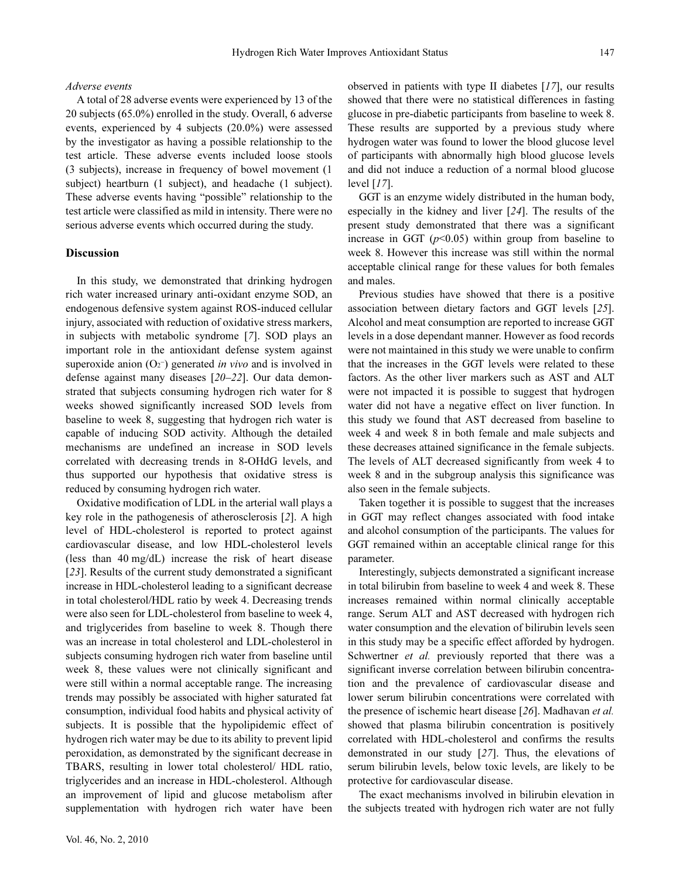## Adverse events

A total of 28 adverse events were experienced by 13 of the 20 subjects (65.0%) enrolled in the study. Overall, 6 adverse events, experienced by 4 subjects (20.0%) were assessed by the investigator as having a possible relationship to the test article. These adverse events included loose stools (3 subjects), increase in frequency of bowel movement (1 subject) heartburn (1 subject), and headache (1 subject). These adverse events having "possible" relationship to the test article were classified as mild in intensity. There were no serious adverse events which occurred during the study.

## Discussion

In this study, we demonstrated that drinking hydrogen rich water increased urinary anti-oxidant enzyme SOD, an endogenous defensive system against ROS-induced cellular injury, associated with reduction of oxidative stress markers, in subjects with metabolic syndrome [7]. SOD plays an important role in the antioxidant defense system against superoxide anion  $(O_2^-)$  generated in vivo and is involved in defense against many diseases [20–22]. Our data demonstrated that subjects consuming hydrogen rich water for 8 weeks showed significantly increased SOD levels from baseline to week 8, suggesting that hydrogen rich water is capable of inducing SOD activity. Although the detailed mechanisms are undefined an increase in SOD levels correlated with decreasing trends in 8-OHdG levels, and thus supported our hypothesis that oxidative stress is reduced by consuming hydrogen rich water.

Oxidative modification of LDL in the arterial wall plays a key role in the pathogenesis of atherosclerosis [2]. A high level of HDL-cholesterol is reported to protect against cardiovascular disease, and low HDL-cholesterol levels (less than 40 mg/dL) increase the risk of heart disease [23]. Results of the current study demonstrated a significant increase in HDL-cholesterol leading to a significant decrease in total cholesterol/HDL ratio by week 4. Decreasing trends were also seen for LDL-cholesterol from baseline to week 4, and triglycerides from baseline to week 8. Though there was an increase in total cholesterol and LDL-cholesterol in subjects consuming hydrogen rich water from baseline until week 8, these values were not clinically significant and were still within a normal acceptable range. The increasing trends may possibly be associated with higher saturated fat consumption, individual food habits and physical activity of subjects. It is possible that the hypolipidemic effect of hydrogen rich water may be due to its ability to prevent lipid peroxidation, as demonstrated by the significant decrease in TBARS, resulting in lower total cholesterol/ HDL ratio, triglycerides and an increase in HDL-cholesterol. Although an improvement of lipid and glucose metabolism after supplementation with hydrogen rich water have been observed in patients with type II diabetes [17], our results showed that there were no statistical differences in fasting glucose in pre-diabetic participants from baseline to week 8. These results are supported by a previous study where hydrogen water was found to lower the blood glucose level of participants with abnormally high blood glucose levels and did not induce a reduction of a normal blood glucose level [17].

GGT is an enzyme widely distributed in the human body, especially in the kidney and liver [24]. The results of the present study demonstrated that there was a significant increase in GGT  $(p<0.05)$  within group from baseline to week 8. However this increase was still within the normal acceptable clinical range for these values for both females and males.

Previous studies have showed that there is a positive association between dietary factors and GGT levels [25]. Alcohol and meat consumption are reported to increase GGT levels in a dose dependant manner. However as food records were not maintained in this study we were unable to confirm that the increases in the GGT levels were related to these factors. As the other liver markers such as AST and ALT were not impacted it is possible to suggest that hydrogen water did not have a negative effect on liver function. In this study we found that AST decreased from baseline to week 4 and week 8 in both female and male subjects and these decreases attained significance in the female subjects. The levels of ALT decreased significantly from week 4 to week 8 and in the subgroup analysis this significance was also seen in the female subjects.

Taken together it is possible to suggest that the increases in GGT may reflect changes associated with food intake and alcohol consumption of the participants. The values for GGT remained within an acceptable clinical range for this parameter.

Interestingly, subjects demonstrated a significant increase in total bilirubin from baseline to week 4 and week 8. These increases remained within normal clinically acceptable range. Serum ALT and AST decreased with hydrogen rich water consumption and the elevation of bilirubin levels seen in this study may be a specific effect afforded by hydrogen. Schwertner *et al.* previously reported that there was a significant inverse correlation between bilirubin concentration and the prevalence of cardiovascular disease and lower serum bilirubin concentrations were correlated with the presence of ischemic heart disease [26]. Madhavan et al. showed that plasma bilirubin concentration is positively correlated with HDL-cholesterol and confirms the results demonstrated in our study [27]. Thus, the elevations of serum bilirubin levels, below toxic levels, are likely to be protective for cardiovascular disease.

The exact mechanisms involved in bilirubin elevation in the subjects treated with hydrogen rich water are not fully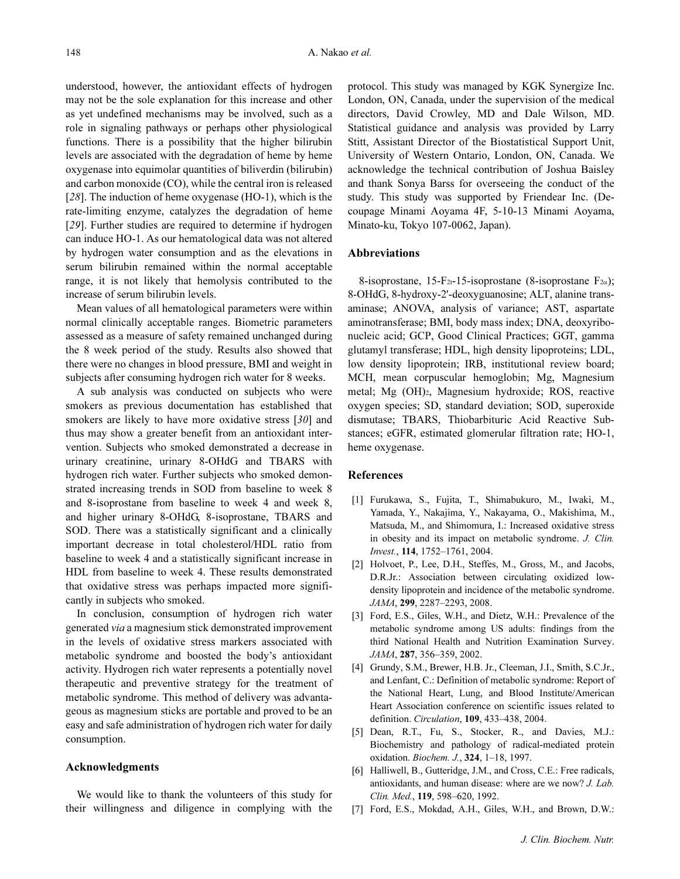understood, however, the antioxidant effects of hydrogen may not be the sole explanation for this increase and other as yet undefined mechanisms may be involved, such as a role in signaling pathways or perhaps other physiological functions. There is a possibility that the higher bilirubin levels are associated with the degradation of heme by heme oxygenase into equimolar quantities of biliverdin (bilirubin) and carbon monoxide (CO), while the central iron is released [28]. The induction of heme oxygenase (HO-1), which is the rate-limiting enzyme, catalyzes the degradation of heme [29]. Further studies are required to determine if hydrogen can induce HO-1. As our hematological data was not altered by hydrogen water consumption and as the elevations in serum bilirubin remained within the normal acceptable range, it is not likely that hemolysis contributed to the increase of serum bilirubin levels.

Mean values of all hematological parameters were within normal clinically acceptable ranges. Biometric parameters assessed as a measure of safety remained unchanged during the 8 week period of the study. Results also showed that there were no changes in blood pressure, BMI and weight in subjects after consuming hydrogen rich water for 8 weeks.

A sub analysis was conducted on subjects who were smokers as previous documentation has established that smokers are likely to have more oxidative stress [30] and thus may show a greater benefit from an antioxidant intervention. Subjects who smoked demonstrated a decrease in urinary creatinine, urinary 8-OHdG and TBARS with hydrogen rich water. Further subjects who smoked demonstrated increasing trends in SOD from baseline to week 8 and 8-isoprostane from baseline to week 4 and week 8, and higher urinary 8-OHdG, 8-isoprostane, TBARS and SOD. There was a statistically significant and a clinically important decrease in total cholesterol/HDL ratio from baseline to week 4 and a statistically significant increase in HDL from baseline to week 4. These results demonstrated that oxidative stress was perhaps impacted more significantly in subjects who smoked.

In conclusion, consumption of hydrogen rich water generated via a magnesium stick demonstrated improvement in the levels of oxidative stress markers associated with metabolic syndrome and boosted the body's antioxidant activity. Hydrogen rich water represents a potentially novel therapeutic and preventive strategy for the treatment of metabolic syndrome. This method of delivery was advantageous as magnesium sticks are portable and proved to be an easy and safe administration of hydrogen rich water for daily consumption.

## Acknowledgments

We would like to thank the volunteers of this study for their willingness and diligence in complying with the protocol. This study was managed by KGK Synergize Inc. London, ON, Canada, under the supervision of the medical directors, David Crowley, MD and Dale Wilson, MD. Statistical guidance and analysis was provided by Larry Stitt, Assistant Director of the Biostatistical Support Unit, University of Western Ontario, London, ON, Canada. We acknowledge the technical contribution of Joshua Baisley and thank Sonya Barss for overseeing the conduct of the study. This study was supported by Friendear Inc. (Decoupage Minami Aoyama 4F, 5-10-13 Minami Aoyama, Minato-ku, Tokyo 107-0062, Japan).

## Abbreviations

8-isoprostane, 15-F<sub>2t</sub>-15-isoprostane (8-isoprostane F<sub>2 $\alpha$ </sub>); 8-OHdG, 8-hydroxy-2'-deoxyguanosine; ALT, alanine transaminase; ANOVA, analysis of variance; AST, aspartate aminotransferase; BMI, body mass index; DNA, deoxyribonucleic acid; GCP, Good Clinical Practices; GGT, gamma glutamyl transferase; HDL, high density lipoproteins; LDL, low density lipoprotein; IRB, institutional review board; MCH, mean corpuscular hemoglobin; Mg, Magnesium metal; Mg (OH)2, Magnesium hydroxide; ROS, reactive oxygen species; SD, standard deviation; SOD, superoxide dismutase; TBARS, Thiobarbituric Acid Reactive Substances; eGFR, estimated glomerular filtration rate; HO-1, heme oxygenase.

## References

- [1] Furukawa, S., Fujita, T., Shimabukuro, M., Iwaki, M., Yamada, Y., Nakajima, Y., Nakayama, O., Makishima, M., Matsuda, M., and Shimomura, I.: Increased oxidative stress in obesity and its impact on metabolic syndrome. J. Clin. Invest., 114, 1752–1761, 2004.
- [2] Holvoet, P., Lee, D.H., Steffes, M., Gross, M., and Jacobs, D.R.Jr.: Association between circulating oxidized lowdensity lipoprotein and incidence of the metabolic syndrome. JAMA, 299, 2287–2293, 2008.
- [3] Ford, E.S., Giles, W.H., and Dietz, W.H.: Prevalence of the metabolic syndrome among US adults: findings from the third National Health and Nutrition Examination Survey. JAMA, 287, 356–359, 2002.
- [4] Grundy, S.M., Brewer, H.B. Jr., Cleeman, J.I., Smith, S.C.Jr., and Lenfant, C.: Definition of metabolic syndrome: Report of the National Heart, Lung, and Blood Institute/American Heart Association conference on scientific issues related to definition. Circulation, 109, 433–438, 2004.
- [5] Dean, R.T., Fu, S., Stocker, R., and Davies, M.J.: Biochemistry and pathology of radical-mediated protein oxidation. Biochem. J., 324, 1–18, 1997.
- [6] Halliwell, B., Gutteridge, J.M., and Cross, C.E.: Free radicals, antioxidants, and human disease: where are we now? J. Lab. Clin. Med., 119, 598–620, 1992.
- [7] Ford, E.S., Mokdad, A.H., Giles, W.H., and Brown, D.W.: